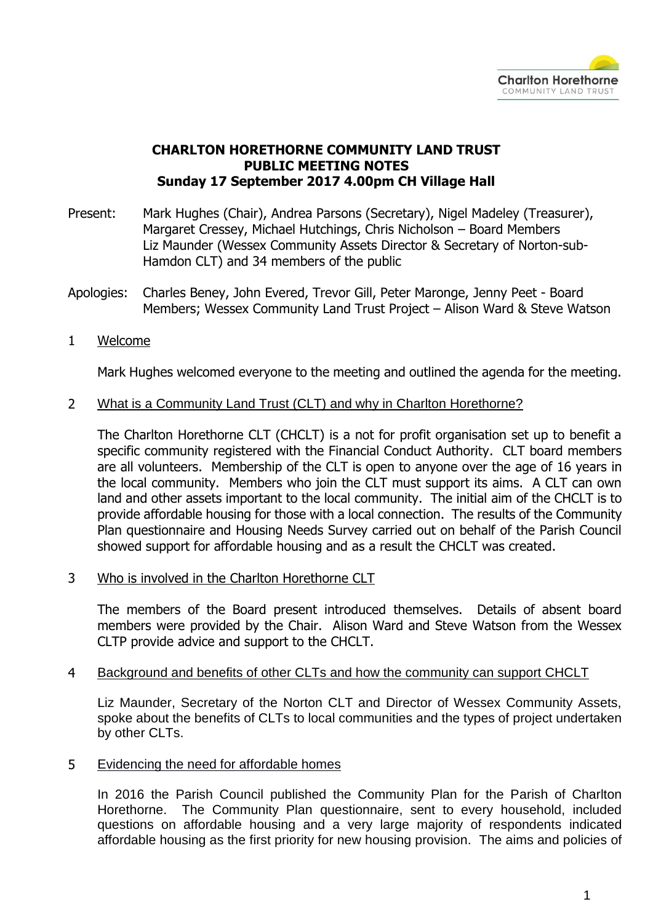

## **CHARLTON HORETHORNE COMMUNITY LAND TRUST PUBLIC MEETING NOTES Sunday 17 September 2017 4.00pm CH Village Hall**

- Present: Mark Hughes (Chair), Andrea Parsons (Secretary), Nigel Madeley (Treasurer), Margaret Cressey, Michael Hutchings, Chris Nicholson – Board Members Liz Maunder (Wessex Community Assets Director & Secretary of Norton-sub-Hamdon CLT) and 34 members of the public
- Apologies: Charles Beney, John Evered, Trevor Gill, Peter Maronge, Jenny Peet Board Members; Wessex Community Land Trust Project – Alison Ward & Steve Watson
- 1 Welcome

Mark Hughes welcomed everyone to the meeting and outlined the agenda for the meeting.

2 What is a Community Land Trust (CLT) and why in Charlton Horethorne?

The Charlton Horethorne CLT (CHCLT) is a not for profit organisation set up to benefit a specific community registered with the Financial Conduct Authority. CLT board members are all volunteers. Membership of the CLT is open to anyone over the age of 16 years in the local community. Members who join the CLT must support its aims. A CLT can own land and other assets important to the local community. The initial aim of the CHCLT is to provide affordable housing for those with a local connection. The results of the Community Plan questionnaire and Housing Needs Survey carried out on behalf of the Parish Council showed support for affordable housing and as a result the CHCLT was created.

3 Who is involved in the Charlton Horethorne CLT

The members of the Board present introduced themselves. Details of absent board members were provided by the Chair. Alison Ward and Steve Watson from the Wessex CLTP provide advice and support to the CHCLT.

## 4 Background and benefits of other CLTs and how the community can support CHCLT

Liz Maunder, Secretary of the Norton CLT and Director of Wessex Community Assets, spoke about the benefits of CLTs to local communities and the types of project undertaken by other CLTs.

5 Evidencing the need for affordable homes

In 2016 the Parish Council published the Community Plan for the Parish of Charlton Horethorne. The Community Plan questionnaire, sent to every household, included questions on affordable housing and a very large majority of respondents indicated affordable housing as the first priority for new housing provision. The aims and policies of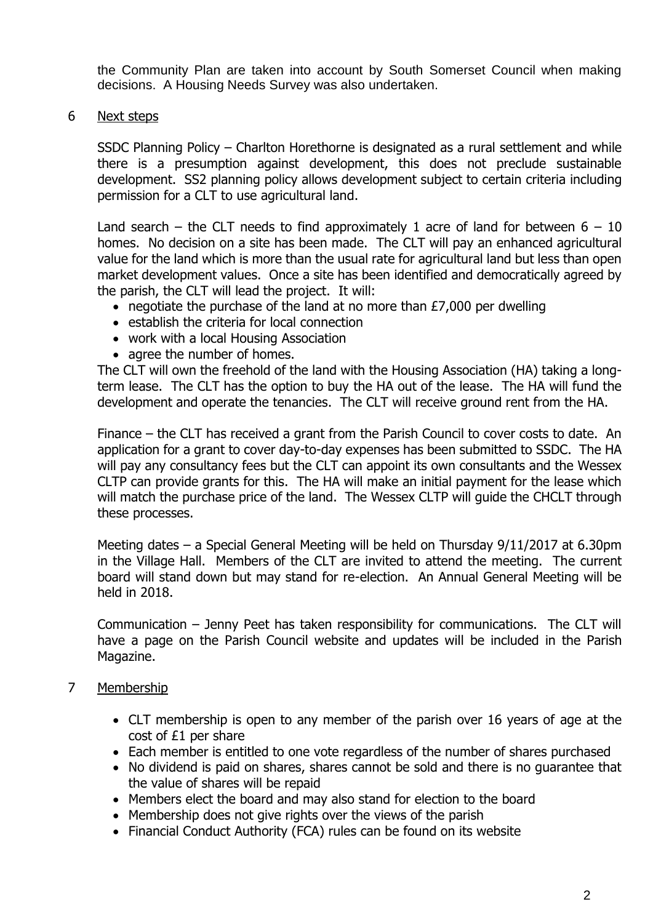the Community Plan are taken into account by South Somerset Council when making decisions. A Housing Needs Survey was also undertaken.

6 Next steps

SSDC Planning Policy – Charlton Horethorne is designated as a rural settlement and while there is a presumption against development, this does not preclude sustainable development. SS2 planning policy allows development subject to certain criteria including permission for a CLT to use agricultural land.

Land search – the CLT needs to find approximately 1 acre of land for between  $6 - 10$ homes. No decision on a site has been made. The CLT will pay an enhanced agricultural value for the land which is more than the usual rate for agricultural land but less than open market development values. Once a site has been identified and democratically agreed by the parish, the CLT will lead the project. It will:

- negotiate the purchase of the land at no more than £7,000 per dwelling
- establish the criteria for local connection
- work with a local Housing Association
- agree the number of homes.

The CLT will own the freehold of the land with the Housing Association (HA) taking a longterm lease. The CLT has the option to buy the HA out of the lease. The HA will fund the development and operate the tenancies. The CLT will receive ground rent from the HA.

Finance – the CLT has received a grant from the Parish Council to cover costs to date. An application for a grant to cover day-to-day expenses has been submitted to SSDC. The HA will pay any consultancy fees but the CLT can appoint its own consultants and the Wessex CLTP can provide grants for this. The HA will make an initial payment for the lease which will match the purchase price of the land. The Wessex CLTP will quide the CHCLT through these processes.

Meeting dates – a Special General Meeting will be held on Thursday 9/11/2017 at 6.30pm in the Village Hall. Members of the CLT are invited to attend the meeting. The current board will stand down but may stand for re-election. An Annual General Meeting will be held in 2018.

Communication – Jenny Peet has taken responsibility for communications. The CLT will have a page on the Parish Council website and updates will be included in the Parish Magazine.

- 7 Membership
	- CLT membership is open to any member of the parish over 16 years of age at the cost of £1 per share
	- Each member is entitled to one vote regardless of the number of shares purchased
	- No dividend is paid on shares, shares cannot be sold and there is no guarantee that the value of shares will be repaid
	- Members elect the board and may also stand for election to the board
	- Membership does not give rights over the views of the parish
	- Financial Conduct Authority (FCA) rules can be found on its website